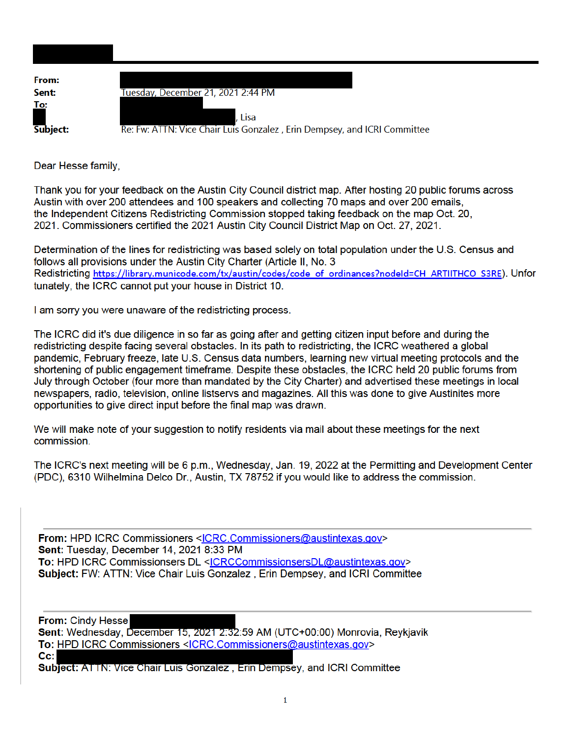| From:      |                                                                          |
|------------|--------------------------------------------------------------------------|
| Sent:      | Tuesday, December 21, 2021 2:44 PM                                       |
| <u>To:</u> | . Lisa                                                                   |
| Subject:   | Re: Fw: ATTN: Vice Chair Luis Gonzalez, Erin Dempsey, and ICRI Committee |

Dear Hesse family,

Thank you for your feedback on the Austin City Council district map. After hosting 20 public forums across Austin with over 200 attendees and 100 speakers and collecting 70 maps and over 200 emails. the Independent Citizens Redistricting Commission stopped taking feedback on the map Oct. 20. 2021. Commissioners certified the 2021 Austin City Council District Map on Oct. 27, 2021.

Determination of the lines for redistricting was based solely on total population under the U.S. Census and follows all provisions under the Austin City Charter (Article II, No. 3 Redistricting https://library.municode.com/tx/austin/codes/code of ordinances?nodeld=CH ARTIITHCO S3RE). Unfor tunately, the ICRC cannot put your house in District 10.

I am sorry you were unaware of the redistricting process.

The ICRC did it's due diligence in so far as going after and getting citizen input before and during the redistricting despite facing several obstacles. In its path to redistricting, the ICRC weathered a global pandemic, February freeze, late U.S. Census data numbers, learning new virtual meeting protocols and the shortening of public engagement timeframe. Despite these obstacles, the ICRC held 20 public forums from July through October (four more than mandated by the City Charter) and advertised these meetings in local newspapers, radio, television, online listservs and magazines. All this was done to give Austinites more opportunities to give direct input before the final map was drawn.

We will make note of your suggestion to notify residents via mail about these meetings for the next commission.

The ICRC's next meeting will be 6 p.m., Wednesday, Jan. 19, 2022 at the Permitting and Development Center (PDC), 6310 Wilhelmina Delco Dr., Austin, TX 78752 if you would like to address the commission.

From: HPD ICRC Commissioners <ICRC.Commissioners@austintexas.gov> Sent: Tuesday, December 14, 2021 8:33 PM To: HPD ICRC Commissionsers DL <ICRCCommissionsersDL@austintexas.gov> Subject: FW: ATTN: Vice Chair Luis Gonzalez, Erin Dempsey, and ICRI Committee

**From: Cindy Hesse** 

Sent: Wednesday, December 15, 2021 2:32:59 AM (UTC+00:00) Monrovia, Reykjavik To: HPD ICRC Commissioners <ICRC.Commissioners@austintexas.gov>  $|Cc$ :

Subject: ATTN: Vice Chair Luis Gonzalez, Erin Dempsey, and ICRI Committee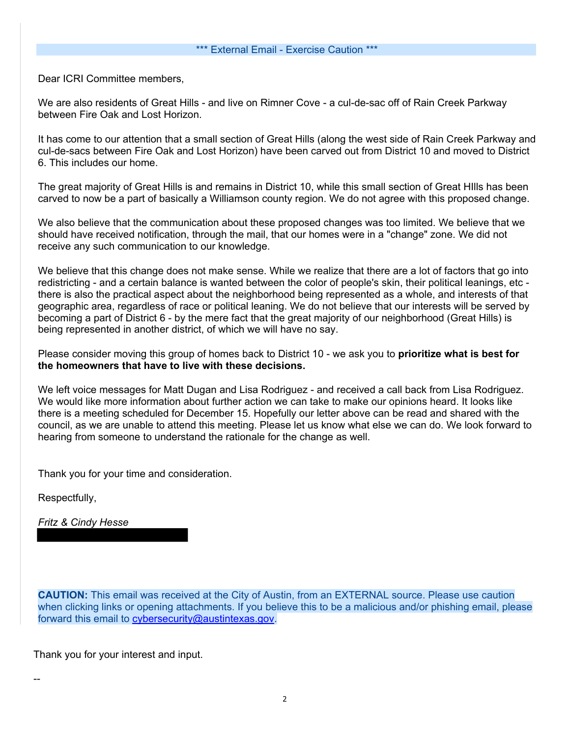## \*\*\* External Email - Exercise Caution \*\*\*

Dear ICRI Committee members,

We are also residents of Great Hills - and live on Rimner Cove - a cul-de-sac off of Rain Creek Parkway between Fire Oak and Lost Horizon.

It has come to our attention that a small section of Great Hills (along the west side of Rain Creek Parkway and cul-de-sacs between Fire Oak and Lost Horizon) have been carved out from District 10 and moved to District 6. This includes our home.

The great majority of Great Hills is and remains in District 10, while this small section of Great HIlls has been carved to now be a part of basically a Williamson county region. We do not agree with this proposed change.

We also believe that the communication about these proposed changes was too limited. We believe that we should have received notification, through the mail, that our homes were in a "change" zone. We did not receive any such communication to our knowledge.

We believe that this change does not make sense. While we realize that there are a lot of factors that go into redistricting - and a certain balance is wanted between the color of people's skin, their political leanings, etc there is also the practical aspect about the neighborhood being represented as a whole, and interests of that geographic area, regardless of race or political leaning. We do not believe that our interests will be served by becoming a part of District 6 - by the mere fact that the great majority of our neighborhood (Great Hills) is being represented in another district, of which we will have no say.

Please consider moving this group of homes back to District 10 - we ask you to **prioritize what is best for the homeowners that have to live with these decisions.**

We left voice messages for Matt Dugan and Lisa Rodriguez - and received a call back from Lisa Rodriguez. We would like more information about further action we can take to make our opinions heard. It looks like there is a meeting scheduled for December 15. Hopefully our letter above can be read and shared with the council, as we are unable to attend this meeting. Please let us know what else we can do. We look forward to hearing from someone to understand the rationale for the change as well.

Thank you for your time and consideration.

Respectfully,

*Fritz & Cindy Hesse*

**CAUTION:** This email was received at the City of Austin, from an EXTERNAL source. Please use caution when clicking links or opening attachments. If you believe this to be a malicious and/or phishing email, please forward this email to cybersecurity@austintexas.gov.

Thank you for your interest and input.

--